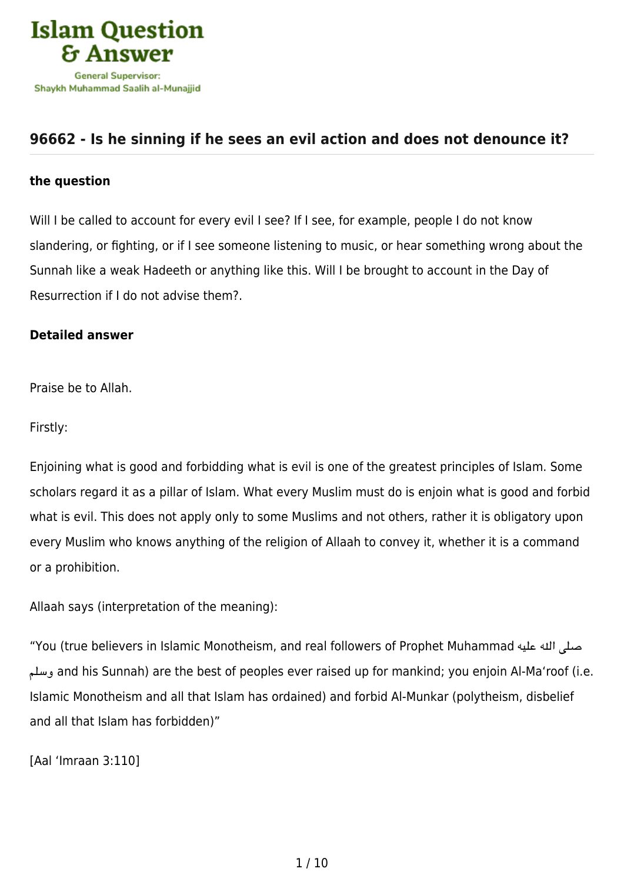

## **[96662 - Is he sinning if he sees an evil action and does not denounce it?](https://islamqa.info/en/answers/96662/is-he-sinning-if-he-sees-an-evil-action-and-does-not-denounce-it)**

## **the question**

Will I be called to account for every evil I see? If I see, for example, people I do not know slandering, or fighting, or if I see someone listening to music, or hear something wrong about the Sunnah like a weak Hadeeth or anything like this. Will I be brought to account in the Day of Resurrection if I do not advise them?.

## **Detailed answer**

Praise be to Allah.

Firstly:

Enjoining what is good and forbidding what is evil is one of the greatest principles of Islam. Some scholars regard it as a pillar of Islam. What every Muslim must do is enjoin what is good and forbid what is evil. This does not apply only to some Muslims and not others, rather it is obligatory upon every Muslim who knows anything of the religion of Allaah to convey it, whether it is a command or a prohibition.

Allaah says (interpretation of the meaning):

"You (true believers in Islamic Monotheism, and real followers of Prophet Muhammad عليه هال صل وسلم and his Sunnah) are the best of peoples ever raised up for mankind; you enjoin Al-Ma'roof (i.e. Islamic Monotheism and all that Islam has ordained) and forbid Al‑Munkar (polytheism, disbelief and all that Islam has forbidden)"

[Aal 'Imraan 3:110]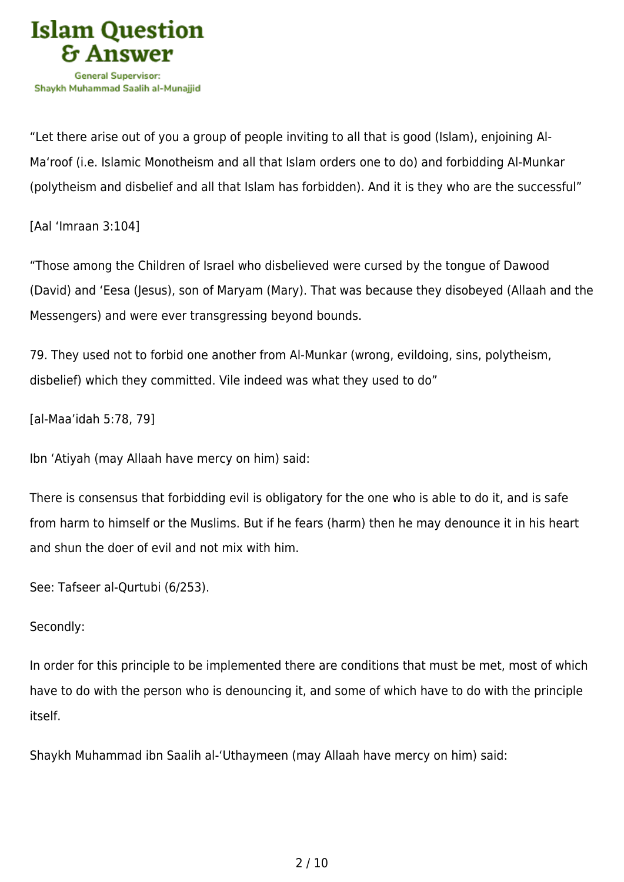

"Let there arise out of you a group of people inviting to all that is good (Islam), enjoining Al-Ma'roof (i.e. Islamic Monotheism and all that Islam orders one to do) and forbidding Al-Munkar (polytheism and disbelief and all that Islam has forbidden). And it is they who are the successful"

[Aal 'Imraan 3:104]

"Those among the Children of Israel who disbelieved were cursed by the tongue of Dawood (David) and 'Eesa (Jesus), son of Maryam (Mary). That was because they disobeyed (Allaah and the Messengers) and were ever transgressing beyond bounds.

79. They used not to forbid one another from Al-Munkar (wrong, evildoing, sins, polytheism, disbelief) which they committed. Vile indeed was what they used to do"

[al-Maa'idah 5:78, 79]

Ibn 'Atiyah (may Allaah have mercy on him) said:

There is consensus that forbidding evil is obligatory for the one who is able to do it, and is safe from harm to himself or the Muslims. But if he fears (harm) then he may denounce it in his heart and shun the doer of evil and not mix with him.

See: Tafseer al-Qurtubi (6/253).

## Secondly:

In order for this principle to be implemented there are conditions that must be met, most of which have to do with the person who is denouncing it, and some of which have to do with the principle itself.

Shaykh Muhammad ibn Saalih al-'Uthaymeen (may Allaah have mercy on him) said: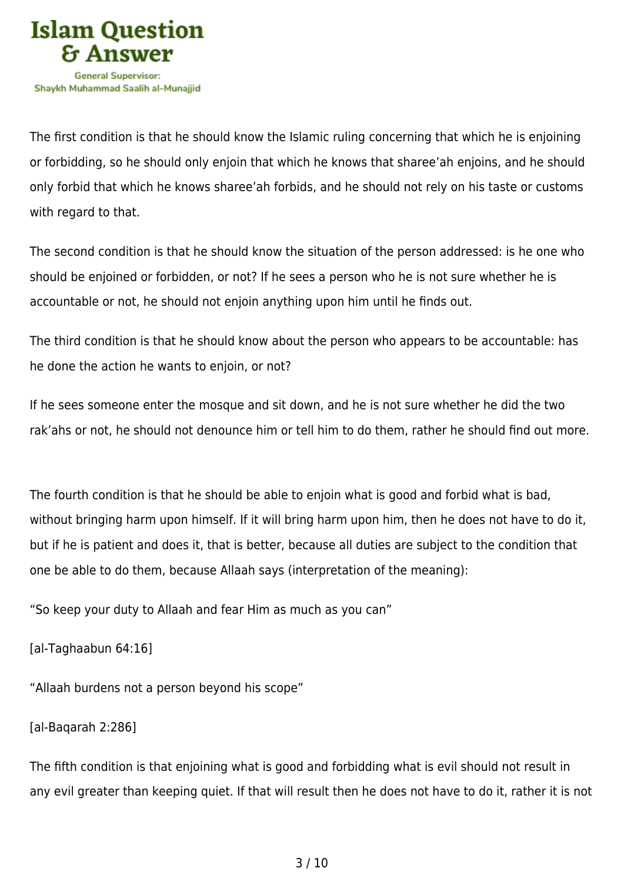

The first condition is that he should know the Islamic ruling concerning that which he is enjoining or forbidding, so he should only enjoin that which he knows that sharee'ah enjoins, and he should only forbid that which he knows sharee'ah forbids, and he should not rely on his taste or customs with regard to that.

The second condition is that he should know the situation of the person addressed: is he one who should be enjoined or forbidden, or not? If he sees a person who he is not sure whether he is accountable or not, he should not enjoin anything upon him until he finds out.

The third condition is that he should know about the person who appears to be accountable: has he done the action he wants to enjoin, or not?

If he sees someone enter the mosque and sit down, and he is not sure whether he did the two rak'ahs or not, he should not denounce him or tell him to do them, rather he should find out more.

The fourth condition is that he should be able to enjoin what is good and forbid what is bad, without bringing harm upon himself. If it will bring harm upon him, then he does not have to do it, but if he is patient and does it, that is better, because all duties are subject to the condition that one be able to do them, because Allaah says (interpretation of the meaning):

"So keep your duty to Allaah and fear Him as much as you can"

```
[al-Taghaabun 64:16]
```
"Allaah burdens not a person beyond his scope"

```
[al-Baqarah 2:286]
```
The fifth condition is that enjoining what is good and forbidding what is evil should not result in any evil greater than keeping quiet. If that will result then he does not have to do it, rather it is not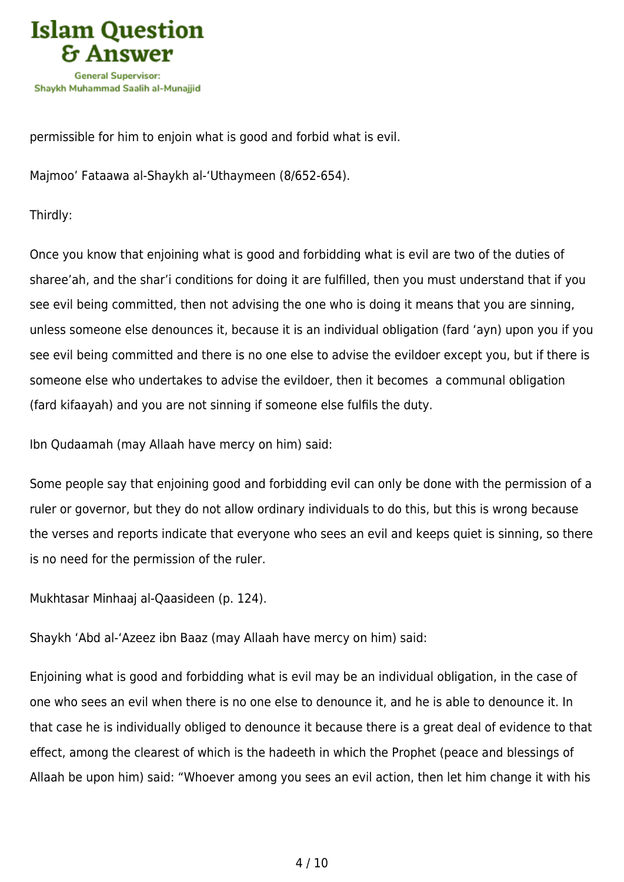

permissible for him to enjoin what is good and forbid what is evil.

Majmoo' Fataawa al-Shaykh al-'Uthaymeen (8/652-654).

Thirdly:

Once you know that enjoining what is good and forbidding what is evil are two of the duties of sharee'ah, and the shar'i conditions for doing it are fulfilled, then you must understand that if you see evil being committed, then not advising the one who is doing it means that you are sinning, unless someone else denounces it, because it is an individual obligation (fard 'ayn) upon you if you see evil being committed and there is no one else to advise the evildoer except you, but if there is someone else who undertakes to advise the evildoer, then it becomes a communal obligation (fard kifaayah) and you are not sinning if someone else fulfils the duty.

Ibn Qudaamah (may Allaah have mercy on him) said:

Some people say that enjoining good and forbidding evil can only be done with the permission of a ruler or governor, but they do not allow ordinary individuals to do this, but this is wrong because the verses and reports indicate that everyone who sees an evil and keeps quiet is sinning, so there is no need for the permission of the ruler.

Mukhtasar Minhaaj al-Qaasideen (p. 124).

Shaykh 'Abd al-'Azeez ibn Baaz (may Allaah have mercy on him) said:

Enjoining what is good and forbidding what is evil may be an individual obligation, in the case of one who sees an evil when there is no one else to denounce it, and he is able to denounce it. In that case he is individually obliged to denounce it because there is a great deal of evidence to that effect, among the clearest of which is the hadeeth in which the Prophet (peace and blessings of Allaah be upon him) said: "Whoever among you sees an evil action, then let him change it with his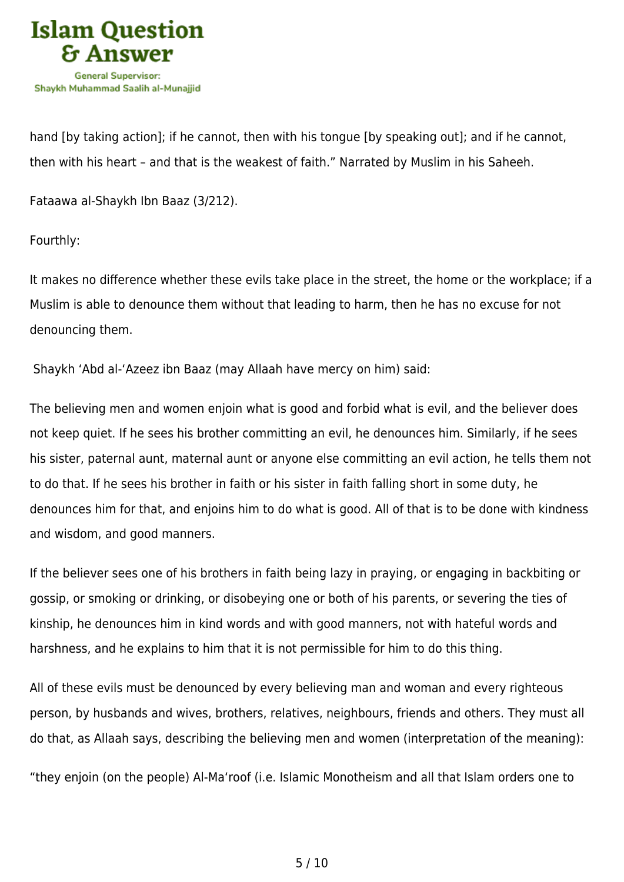

hand [by taking action]; if he cannot, then with his tongue [by speaking out]; and if he cannot, then with his heart – and that is the weakest of faith." Narrated by Muslim in his Saheeh.

Fataawa al-Shaykh Ibn Baaz (3/212).

Fourthly:

It makes no difference whether these evils take place in the street, the home or the workplace; if a Muslim is able to denounce them without that leading to harm, then he has no excuse for not denouncing them.

Shaykh 'Abd al-'Azeez ibn Baaz (may Allaah have mercy on him) said:

The believing men and women enjoin what is good and forbid what is evil, and the believer does not keep quiet. If he sees his brother committing an evil, he denounces him. Similarly, if he sees his sister, paternal aunt, maternal aunt or anyone else committing an evil action, he tells them not to do that. If he sees his brother in faith or his sister in faith falling short in some duty, he denounces him for that, and enjoins him to do what is good. All of that is to be done with kindness and wisdom, and good manners.

If the believer sees one of his brothers in faith being lazy in praying, or engaging in backbiting or gossip, or smoking or drinking, or disobeying one or both of his parents, or severing the ties of kinship, he denounces him in kind words and with good manners, not with hateful words and harshness, and he explains to him that it is not permissible for him to do this thing.

All of these evils must be denounced by every believing man and woman and every righteous person, by husbands and wives, brothers, relatives, neighbours, friends and others. They must all do that, as Allaah says, describing the believing men and women (interpretation of the meaning):

"they enjoin (on the people) Al‑Ma'roof (i.e. Islamic Monotheism and all that Islam orders one to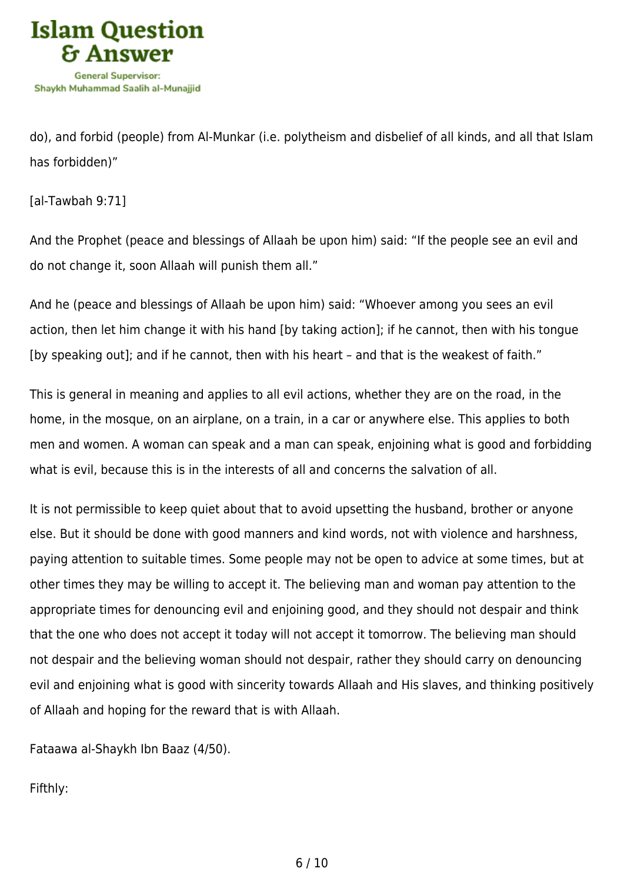

do), and forbid (people) from Al‑Munkar (i.e. polytheism and disbelief of all kinds, and all that Islam has forbidden)"

[al-Tawbah 9:71]

And the Prophet (peace and blessings of Allaah be upon him) said: "If the people see an evil and do not change it, soon Allaah will punish them all."

And he (peace and blessings of Allaah be upon him) said: "Whoever among you sees an evil action, then let him change it with his hand [by taking action]; if he cannot, then with his tongue [by speaking out]; and if he cannot, then with his heart – and that is the weakest of faith."

This is general in meaning and applies to all evil actions, whether they are on the road, in the home, in the mosque, on an airplane, on a train, in a car or anywhere else. This applies to both men and women. A woman can speak and a man can speak, enjoining what is good and forbidding what is evil, because this is in the interests of all and concerns the salvation of all.

It is not permissible to keep quiet about that to avoid upsetting the husband, brother or anyone else. But it should be done with good manners and kind words, not with violence and harshness, paying attention to suitable times. Some people may not be open to advice at some times, but at other times they may be willing to accept it. The believing man and woman pay attention to the appropriate times for denouncing evil and enjoining good, and they should not despair and think that the one who does not accept it today will not accept it tomorrow. The believing man should not despair and the believing woman should not despair, rather they should carry on denouncing evil and enjoining what is good with sincerity towards Allaah and His slaves, and thinking positively of Allaah and hoping for the reward that is with Allaah.

Fataawa al-Shaykh Ibn Baaz (4/50).

Fifthly: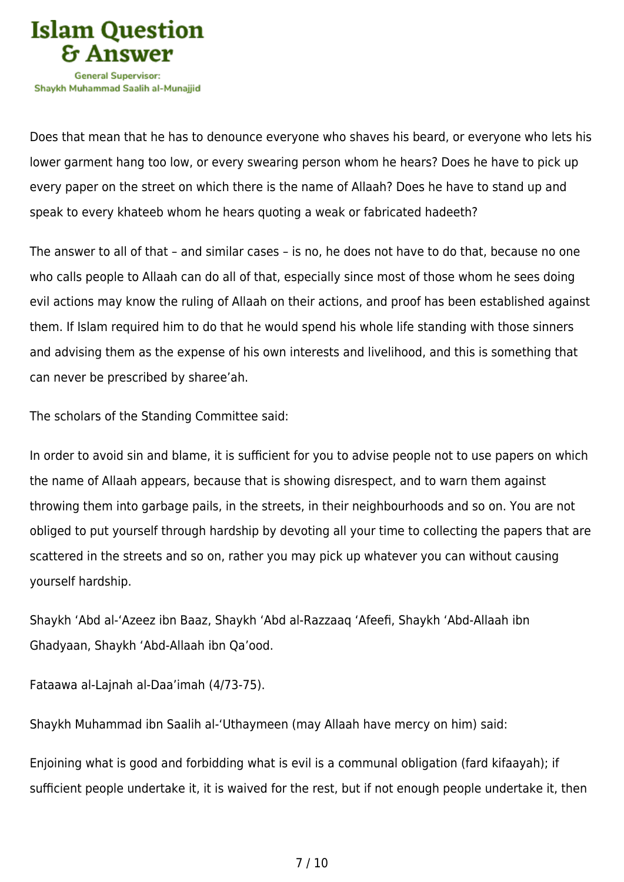

Shavkh Muhammad Saalih al-Munaiiid

Does that mean that he has to denounce everyone who shaves his beard, or everyone who lets his lower garment hang too low, or every swearing person whom he hears? Does he have to pick up every paper on the street on which there is the name of Allaah? Does he have to stand up and speak to every khateeb whom he hears quoting a weak or fabricated hadeeth?

The answer to all of that – and similar cases – is no, he does not have to do that, because no one who calls people to Allaah can do all of that, especially since most of those whom he sees doing evil actions may know the ruling of Allaah on their actions, and proof has been established against them. If Islam required him to do that he would spend his whole life standing with those sinners and advising them as the expense of his own interests and livelihood, and this is something that can never be prescribed by sharee'ah.

The scholars of the Standing Committee said:

In order to avoid sin and blame, it is sufficient for you to advise people not to use papers on which the name of Allaah appears, because that is showing disrespect, and to warn them against throwing them into garbage pails, in the streets, in their neighbourhoods and so on. You are not obliged to put yourself through hardship by devoting all your time to collecting the papers that are scattered in the streets and so on, rather you may pick up whatever you can without causing yourself hardship.

Shaykh 'Abd al-'Azeez ibn Baaz, Shaykh 'Abd al-Razzaaq 'Afeefi, Shaykh 'Abd-Allaah ibn Ghadyaan, Shaykh 'Abd-Allaah ibn Qa'ood.

Fataawa al-Lajnah al-Daa'imah (4/73-75).

Shaykh Muhammad ibn Saalih al-'Uthaymeen (may Allaah have mercy on him) said:

Enjoining what is good and forbidding what is evil is a communal obligation (fard kifaayah); if sufficient people undertake it, it is waived for the rest, but if not enough people undertake it, then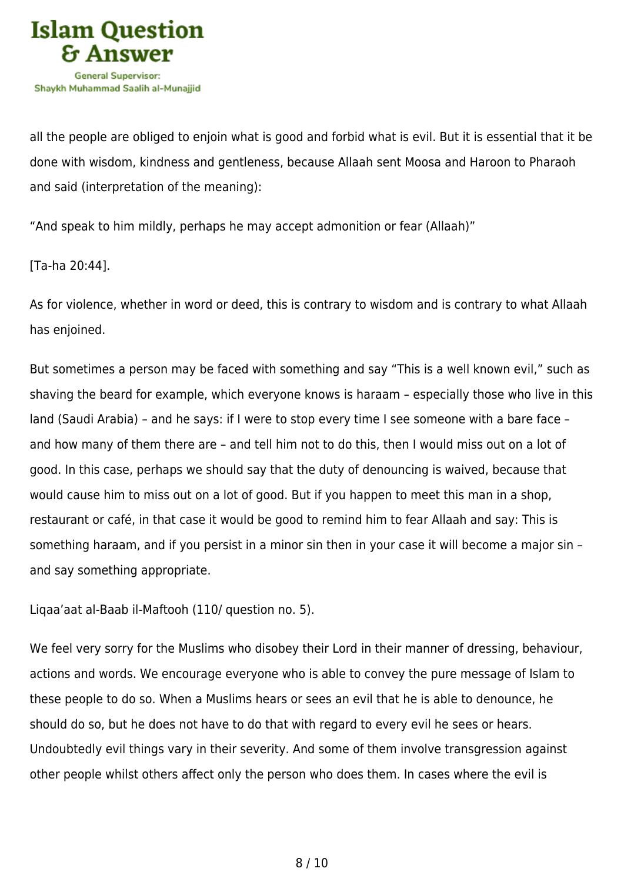

all the people are obliged to enjoin what is good and forbid what is evil. But it is essential that it be done with wisdom, kindness and gentleness, because Allaah sent Moosa and Haroon to Pharaoh and said (interpretation of the meaning):

"And speak to him mildly, perhaps he may accept admonition or fear (Allaah)"

[Ta-ha 20:44].

As for violence, whether in word or deed, this is contrary to wisdom and is contrary to what Allaah has enjoined.

But sometimes a person may be faced with something and say "This is a well known evil," such as shaving the beard for example, which everyone knows is haraam – especially those who live in this land (Saudi Arabia) – and he says: if I were to stop every time I see someone with a bare face – and how many of them there are – and tell him not to do this, then I would miss out on a lot of good. In this case, perhaps we should say that the duty of denouncing is waived, because that would cause him to miss out on a lot of good. But if you happen to meet this man in a shop, restaurant or café, in that case it would be good to remind him to fear Allaah and say: This is something haraam, and if you persist in a minor sin then in your case it will become a major sin – and say something appropriate.

Liqaa'aat al-Baab il-Maftooh (110/ question no. 5).

We feel very sorry for the Muslims who disobey their Lord in their manner of dressing, behaviour, actions and words. We encourage everyone who is able to convey the pure message of Islam to these people to do so. When a Muslims hears or sees an evil that he is able to denounce, he should do so, but he does not have to do that with regard to every evil he sees or hears. Undoubtedly evil things vary in their severity. And some of them involve transgression against other people whilst others affect only the person who does them. In cases where the evil is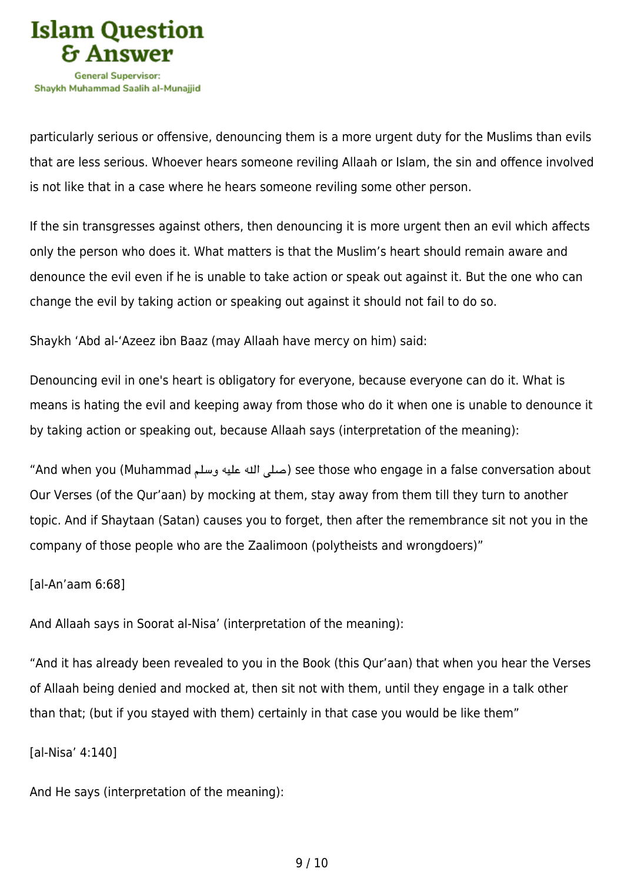

particularly serious or offensive, denouncing them is a more urgent duty for the Muslims than evils that are less serious. Whoever hears someone reviling Allaah or Islam, the sin and offence involved is not like that in a case where he hears someone reviling some other person.

If the sin transgresses against others, then denouncing it is more urgent then an evil which affects only the person who does it. What matters is that the Muslim's heart should remain aware and denounce the evil even if he is unable to take action or speak out against it. But the one who can change the evil by taking action or speaking out against it should not fail to do so.

Shaykh 'Abd al-'Azeez ibn Baaz (may Allaah have mercy on him) said:

Denouncing evil in one's heart is obligatory for everyone, because everyone can do it. What is means is hating the evil and keeping away from those who do it when one is unable to denounce it by taking action or speaking out, because Allaah says (interpretation of the meaning):

"And when you (Muhammad صلى الله عليه وسلم) see those who engage in a false conversation about Our Verses (of the Qur'aan) by mocking at them, stay away from them till they turn to another topic. And if Shaytaan (Satan) causes you to forget, then after the remembrance sit not you in the company of those people who are the Zaalimoon (polytheists and wrongdoers)"

[al-An'aam 6:68]

And Allaah says in Soorat al-Nisa' (interpretation of the meaning):

"And it has already been revealed to you in the Book (this Qur'aan) that when you hear the Verses of Allaah being denied and mocked at, then sit not with them, until they engage in a talk other than that; (but if you stayed with them) certainly in that case you would be like them"

[al-Nisa' 4:140]

And He says (interpretation of the meaning):